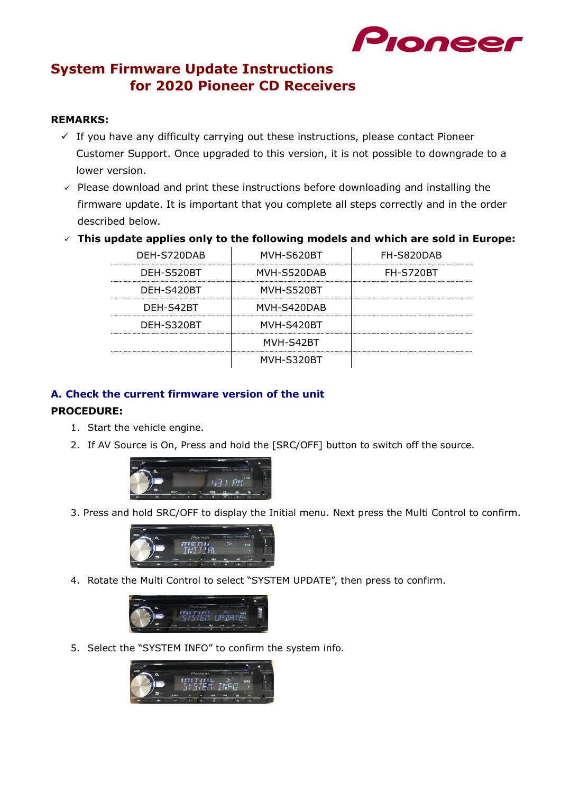

# **System Firmware Update Instructions for 2020 Pioneer CD Receivers**

#### **REMARKS:**

- $\checkmark$  If you have any difficulty carrying out these instructions, please contact Pioneer Customer Support. Once upgraded to this version, it is not possible to downgrade to a lower version.
- $\checkmark$  Please download and print these instructions before downloading and installing the firmware update. It is important that you complete all steps correctly and in the order described below.
- ✓ **This update applies only to the following models and which are sold in Europe:**

| DEH-S720DAB | MVH-S620BT  | FH-S820DAB |
|-------------|-------------|------------|
| DEH-S520BT  | MVH-S520DAB | FH-S720BT  |
| DEH-S420BT  | MVH-S520BT  |            |
| DEH-S42BT   | MVH-S420DAB |            |
| DEH-S320BT  | MVH-S420BT  |            |
|             | MVH-S42BT   |            |
|             | MVH-S320BT  |            |

## **A. Check the current firmware version of the unit**

#### **PROCEDURE:**

- 1. Start the vehicle engine.
- 2. If AV Source is On, Press and hold the [SRC/OFF] button to switch off the source.



3. Press and hold SRC/OFF to display the Initial menu. Next press the Multi Control to confirm.



4. Rotate the Multi Control to select "SYSTEM UPDATE", then press to confirm.



5. Select the "SYSTEM INFO" to confirm the system info.

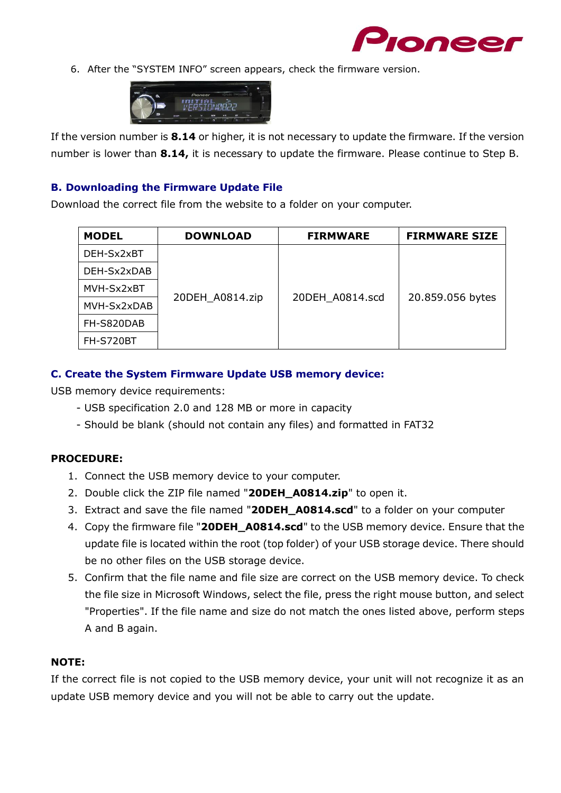

6. After the "SYSTEM INFO" screen appears, check the firmware version.



If the version number is **8.14** or higher, it is not necessary to update the firmware. If the version number is lower than **8.14,** it is necessary to update the firmware. Please continue to Step B.

### **B. Downloading the Firmware Update File**

Download the correct file from the website to a folder on your computer.

| <b>MODEL</b> | <b>DOWNLOAD</b> | <b>FIRMWARE</b> | <b>FIRMWARE SIZE</b> |
|--------------|-----------------|-----------------|----------------------|
| DEH-Sx2xBT   |                 |                 |                      |
| DEH-Sx2xDAB  |                 |                 |                      |
| MVH-Sx2xBT   | 20DEH_A0814.zip | 20DEH A0814.scd | 20.859.056 bytes     |
| MVH-Sx2xDAB  |                 |                 |                      |
| FH-S820DAB   |                 |                 |                      |
| FH-S720BT    |                 |                 |                      |

# **C. Create the System Firmware Update USB memory device:**

USB memory device requirements:

- USB specification 2.0 and 128 MB or more in capacity
- Should be blank (should not contain any files) and formatted in FAT32

## **PROCEDURE:**

- 1. Connect the USB memory device to your computer.
- 2. Double click the ZIP file named "**20DEH\_A0814.zip**" to open it.
- 3. Extract and save the file named "**20DEH\_A0814.scd**" to a folder on your computer
- 4. Copy the firmware file "**20DEH\_A0814.scd**" to the USB memory device. Ensure that the update file is located within the root (top folder) of your USB storage device. There should be no other files on the USB storage device.
- 5. Confirm that the file name and file size are correct on the USB memory device. To check the file size in Microsoft Windows, select the file, press the right mouse button, and select "Properties". If the file name and size do not match the ones listed above, perform steps A and B again.

# **NOTE:**

If the correct file is not copied to the USB memory device, your unit will not recognize it as an update USB memory device and you will not be able to carry out the update.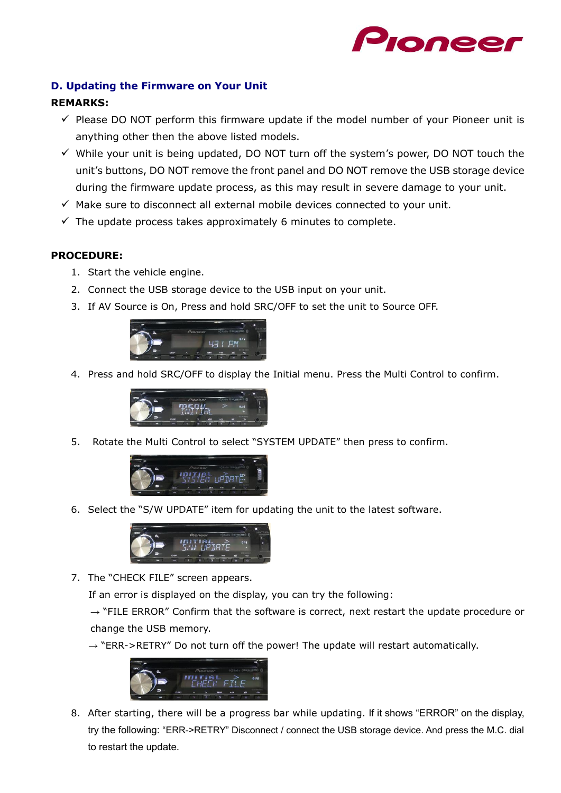

## **D. Updating the Firmware on Your Unit**

### **REMARKS:**

- $\checkmark$  Please DO NOT perform this firmware update if the model number of your Pioneer unit is anything other then the above listed models.
- $\checkmark$  While your unit is being updated, DO NOT turn off the system's power, DO NOT touch the unit's buttons, DO NOT remove the front panel and DO NOT remove the USB storage device during the firmware update process, as this may result in severe damage to your unit.
- $\checkmark$  Make sure to disconnect all external mobile devices connected to your unit.
- $\checkmark$  The update process takes approximately 6 minutes to complete.

#### **PROCEDURE:**

- 1. Start the vehicle engine.
- 2. Connect the USB storage device to the USB input on your unit.
- 3. If AV Source is On, Press and hold SRC/OFF to set the unit to Source OFF.



4. Press and hold SRC/OFF to display the Initial menu. Press the Multi Control to confirm.



5. Rotate the Multi Control to select "SYSTEM UPDATE" then press to confirm.



6. Select the "S/W UPDATE" item for updating the unit to the latest software.



7. The "CHECK FILE" screen appears.

If an error is displayed on the display, you can try the following:

 $\rightarrow$  "FILE ERROR" Confirm that the software is correct, next restart the update procedure or change the USB memory.

 $\rightarrow$  "ERR->RETRY" Do not turn off the power! The update will restart automatically.



8. After starting, there will be a progress bar while updating. If it shows "ERROR" on the display, try the following: "ERR->RETRY" Disconnect / connect the USB storage device. And press the M.C. dial to restart the update.